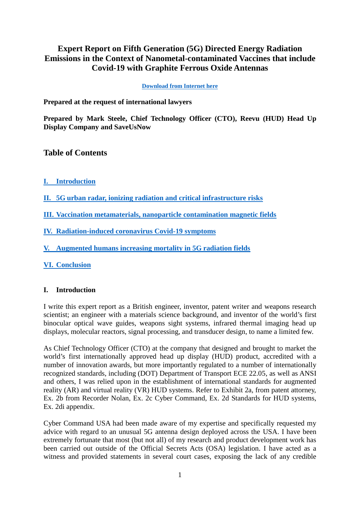# **Expert Report on Fifth Generation (5G) Directed Energy Radiation Emissions in the Context of Nanometal-contaminated Vaccines that include Covid-19 with Graphite Ferrous Oxide Antennas**

**[Download from Internet here](https://forlifeonearth.weebly.com/mark-steele-expert-report-on-5g-emissions-in-context-of-nanometal-contaminated-vaccines.html)**

**Prepared at the request of international lawyers**

**Prepared by Mark Steele, Chief Technology Officer (CTO), Reevu (HUD) Head Up Display Company and SaveUsNow**

## **Table of Contents**

- **[I. Introduction](#page-0-0)**
- **[II. 5G urban radar, ionizing radiation and critical infrastructure risks](#page-2-0)**
- **[III. Vaccination metamaterials, nanoparticle contamination magnetic fields](#page-7-0)**
- **[IV. Radiation-induced coronavirus Covid-19 symptoms](#page-9-0)**
- **[V. Augmented humans increasing mortality in 5G radiation fields](#page-10-0)**
- **[VI. Conclusion](#page-12-0)**

### <span id="page-0-0"></span>**I. Introduction**

I write this expert report as a British engineer, inventor, patent writer and weapons research scientist; an engineer with a materials science background, and inventor of the world's first binocular optical wave guides, weapons sight systems, infrared thermal imaging head up displays, molecular reactors, signal processing, and transducer design, to name a limited few.

As Chief Technology Officer (CTO) at the company that designed and brought to market the world's first internationally approved head up display (HUD) product, accredited with a number of innovation awards, but more importantly regulated to a number of internationally recognized standards, including (DOT) Department of Transport ECE 22.05, as well as ANSI and others, I was relied upon in the establishment of international standards for augmented reality (AR) and virtual reality (VR) HUD systems. Refer to Exhibit 2a, from patent attorney, Ex. 2b from Recorder Nolan, Ex. 2c Cyber Command, Ex. 2d Standards for HUD systems, Ex. 2di appendix.

Cyber Command USA had been made aware of my expertise and specifically requested my advice with regard to an unusual 5G antenna design deployed across the USA. I have been extremely fortunate that most (but not all) of my research and product development work has been carried out outside of the Official Secrets Acts (OSA) legislation. I have acted as a witness and provided statements in several court cases, exposing the lack of any credible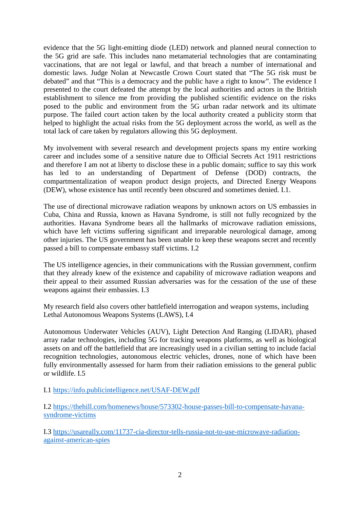evidence that the 5G light-emitting diode (LED) network and planned neural connection to the 5G grid are safe. This includes nano metamaterial technologies that are contaminating vaccinations, that are not legal or lawful, and that breach a number of international and domestic laws. Judge Nolan at Newcastle Crown Court stated that "The 5G risk must be debated" and that "This is a democracy and the public have a right to know". The evidence I presented to the court defeated the attempt by the local authorities and actors in the British establishment to silence me from providing the published scientific evidence on the risks posed to the public and environment from the 5G urban radar network and its ultimate purpose. The failed court action taken by the local authority created a publicity storm that helped to highlight the actual risks from the 5G deployment across the world, as well as the total lack of care taken by regulators allowing this 5G deployment.

My involvement with several research and development projects spans my entire working career and includes some of a sensitive nature due to Official Secrets Act 1911 restrictions and therefore I am not at liberty to disclose these in a public domain; suffice to say this work has led to an understanding of Department of Defense (DOD) contracts, the compartmentalization of weapon product design projects, and Directed Energy Weapons (DEW), whose existence has until recently been obscured and sometimes denied. I.1.

The use of directional microwave radiation weapons by unknown actors on US embassies in Cuba, China and Russia, known as Havana Syndrome, is still not fully recognized by the authorities. Havana Syndrome bears all the hallmarks of microwave radiation emissions, which have left victims suffering significant and irreparable neurological damage, among other injuries. The US government has been unable to keep these weapons secret and recently passed a bill to compensate embassy staff victims. I.2

The US intelligence agencies, in their communications with the Russian government, confirm that they already knew of the existence and capability of microwave radiation weapons and their appeal to their assumed Russian adversaries was for the cessation of the use of these weapons against their embassies. I.3

My research field also covers other battlefield interrogation and weapon systems, including Lethal Autonomous Weapons Systems (LAWS), I.4

Autonomous Underwater Vehicles (AUV), Light Detection And Ranging (LIDAR), phased array radar technologies, including 5G for tracking weapons platforms, as well as biological assets on and off the battlefield that are increasingly used in a civilian setting to include facial recognition technologies, autonomous electric vehicles, drones, none of which have been fully environmentally assessed for harm from their radiation emissions to the general public or wildlife. I.5

I.1<https://info.publicintelligence.net/USAF-DEW.pdf>

I.2 [https://thehill.com/homenews/house/573302-house-passes-bill-to-compensate-havana](https://thehill.com/homenews/house/573302-house-passes-bill-to-compensate-havana-syndrome-victims)[syndrome-victims](https://thehill.com/homenews/house/573302-house-passes-bill-to-compensate-havana-syndrome-victims)

I.3 [https://usareally.com/11737-cia-director-tells-russia-not-to-use-microwave-radiation](https://usareally.com/11737-cia-director-tells-russia-not-to-use-microwave-radiation-against-american-spies)[against-american-spies](https://usareally.com/11737-cia-director-tells-russia-not-to-use-microwave-radiation-against-american-spies)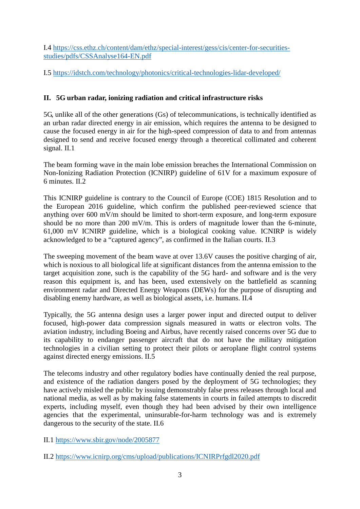I.4 [https://css.ethz.ch/content/dam/ethz/special-interest/gess/cis/center-for-securities](https://css.ethz.ch/content/dam/ethz/special-interest/gess/cis/center-for-securities-studies/pdfs/CSSAnalyse164-EN.pdf)[studies/pdfs/CSSAnalyse164-EN.pdf](https://css.ethz.ch/content/dam/ethz/special-interest/gess/cis/center-for-securities-studies/pdfs/CSSAnalyse164-EN.pdf)

I.5<https://idstch.com/technology/photonics/critical-technologies-lidar-developed/>

## <span id="page-2-0"></span>**II. 5G urban radar, ionizing radiation and critical infrastructure risks**

5G, unlike all of the other generations (Gs) of telecommunications, is technically identified as an urban radar directed energy in air emission, which requires the antenna to be designed to cause the focused energy in air for the high-speed compression of data to and from antennas designed to send and receive focused energy through a theoretical collimated and coherent signal. II.1

The beam forming wave in the main lobe emission breaches the International Commission on Non-Ionizing Radiation Protection (ICNIRP) guideline of 61V for a maximum exposure of 6 minutes. II.2

This ICNIRP guideline is contrary to the Council of Europe (COE) 1815 Resolution and to the European 2016 guideline, which confirm the published peer-reviewed science that anything over 600 mV/m should be limited to short-term exposure, and long-term exposure should be no more than 200 mV/m. This is orders of magnitude lower than the 6-minute, 61,000 mV ICNIRP guideline, which is a biological cooking value. ICNIRP is widely acknowledged to be a "captured agency", as confirmed in the Italian courts. II.3

The sweeping movement of the beam wave at over 13.6V causes the positive charging of air, which is noxious to all biological life at significant distances from the antenna emission to the target acquisition zone, such is the capability of the 5G hard- and software and is the very reason this equipment is, and has been, used extensively on the battlefield as scanning environment radar and Directed Energy Weapons (DEWs) for the purpose of disrupting and disabling enemy hardware, as well as biological assets, i.e. humans. II.4

Typically, the 5G antenna design uses a larger power input and directed output to deliver focused, high-power data compression signals measured in watts or electron volts. The aviation industry, including Boeing and Airbus, have recently raised concerns over 5G due to its capability to endanger passenger aircraft that do not have the military mitigation technologies in a civilian setting to protect their pilots or aeroplane flight control systems against directed energy emissions. II.5

The telecoms industry and other regulatory bodies have continually denied the real purpose, and existence of the radiation dangers posed by the deployment of 5G technologies; they have actively misled the public by issuing demonstrably false press releases through local and national media, as well as by making false statements in courts in failed attempts to discredit experts, including myself, even though they had been advised by their own intelligence agencies that the experimental, uninsurable-for-harm technology was and is extremely dangerous to the security of the state. II.6

II.1<https://www.sbir.gov/node/2005877>

II.2<https://www.icnirp.org/cms/upload/publications/ICNIRPrfgdl2020.pdf>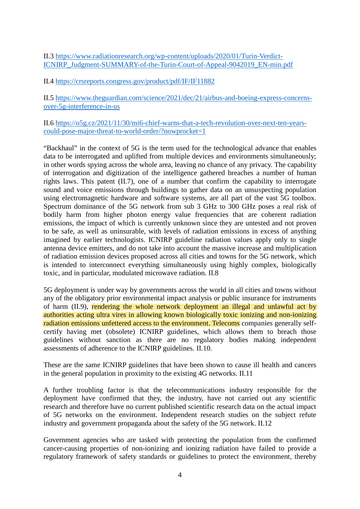II.3 [https://www.radiationresearch.org/wp-content/uploads/2020/01/Turin-Verdict-](https://www.radiationresearch.org/wp-content/uploads/2020/01/Turin-Verdict-ICNIRP_Judgment-SUMMARY-of-the-Turin-Court-of-Appeal-9042019_EN-min.pdf)[ICNIRP\\_Judgment-SUMMARY-of-the-Turin-Court-of-Appeal-9042019\\_EN-min.pdf](https://www.radiationresearch.org/wp-content/uploads/2020/01/Turin-Verdict-ICNIRP_Judgment-SUMMARY-of-the-Turin-Court-of-Appeal-9042019_EN-min.pdf)

II.4<https://crsreports.congress.gov/product/pdf/IF/IF11882>

II.5 [https://www.theguardian.com/science/2021/dec/21/airbus-and-boeing-express-concerns](https://www.theguardian.com/science/2021/dec/21/airbus-and-boeing-express-concerns-over-5g-interference-in-us)[over-5g-interference-in-us](https://www.theguardian.com/science/2021/dec/21/airbus-and-boeing-express-concerns-over-5g-interference-in-us)

II.6 [https://o5g.cz/2021/11/30/mi6-chief-warns-that-a-tech-revolution-over-next-ten-years](https://o5g.cz/2021/11/30/mi6-chief-warns-that-a-tech-revolution-over-next-ten-years-could-pose-major-threat-to-world-order/?nowprocket=1)[could-pose-major-threat-to-world-order/?nowprocket=1](https://o5g.cz/2021/11/30/mi6-chief-warns-that-a-tech-revolution-over-next-ten-years-could-pose-major-threat-to-world-order/?nowprocket=1)

"Backhaul" in the context of 5G is the term used for the technological advance that enables data to be interrogated and uplifted from multiple devices and environments simultaneously; in other words spying across the whole area, leaving no chance of any privacy. The capability of interrogation and digitization of the intelligence gathered breaches a number of human rights laws. This patent (II.7), one of a number that confirm the capability to interrogate sound and voice emissions through buildings to gather data on an unsuspecting population using electromagnetic hardware and software systems, are all part of the vast 5G toolbox. Spectrum dominance of the 5G network from sub 3 GHz to 300 GHz poses a real risk of bodily harm from higher photon energy value frequencies that are coherent radiation emissions, the impact of which is currently unknown since they are untested and not proven to be safe, as well as uninsurable, with levels of radiation emissions in excess of anything imagined by earlier technologists. ICNIRP guideline radiation values apply only to single antenna device emitters, and do not take into account the massive increase and multiplication of radiation emission devices proposed across all cities and towns for the 5G network, which is intended to interconnect everything simultaneously using highly complex, biologically toxic, and in particular, modulated microwave radiation. II.8

5G deployment is under way by governments across the world in all cities and towns without any of the obligatory prior environmental impact analysis or public insurance for instruments of harm (II.9), rendering the whole network deployment an illegal and unlawful act by authorities acting ultra vires in allowing known biologically toxic ionizing and non-ionizing radiation emissions unfettered access to the environment. Telecoms companies generally selfcertify having met (obsolete) ICNIRP guidelines, which allows them to breach those guidelines without sanction as there are no regulatory bodies making independent assessments of adherence to the ICNIRP guidelines. II.10.

These are the same ICNIRP guidelines that have been shown to cause ill health and cancers in the general population in proximity to the existing 4G networks. II.11

A further troubling factor is that the telecommunications industry responsible for the deployment have confirmed that they, the industry, have not carried out any scientific research and therefore have no current published scientific research data on the actual impact of 5G networks on the environment. Independent research studies on the subject refute industry and government propaganda about the safety of the 5G network. II.12

Government agencies who are tasked with protecting the population from the confirmed cancer-causing properties of non-ionizing and ionizing radiation have failed to provide a regulatory framework of safety standards or guidelines to protect the environment, thereby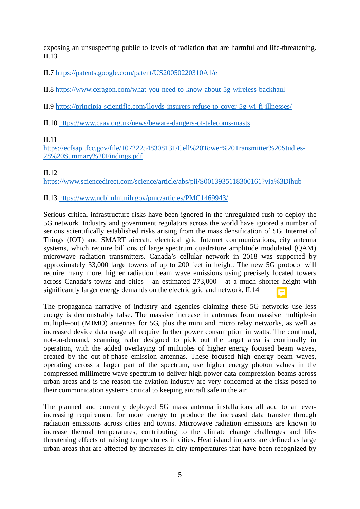exposing an unsuspecting public to levels of radiation that are harmful and life-threatening. II.13

II.7<https://patents.google.com/patent/US20050220310A1/e>

II.8<https://www.ceragon.com/what-you-need-to-know-about-5g-wireless-backhaul>

II.9<https://principia-scientific.com/lloyds-insurers-refuse-to-cover-5g-wi-fi-illnesses/>

II.10<https://www.caav.org.uk/news/beware-dangers-of-telecoms-masts>

### II.11

[https://ecfsapi.fcc.gov/file/107222548308131/Cell%20Tower%20Transmitter%20Studies-](https://ecfsapi.fcc.gov/file/107222548308131/Cell%20Tower%20Transmitter%20Studies-28%20Summary%20Findings.pdf)[28%20Summary%20Findings.pdf](https://ecfsapi.fcc.gov/file/107222548308131/Cell%20Tower%20Transmitter%20Studies-28%20Summary%20Findings.pdf)

### II.12

<https://www.sciencedirect.com/science/article/abs/pii/S0013935118300161?via%3Dihub>

## II.13<https://www.ncbi.nlm.nih.gov/pmc/articles/PMC1469943/>

Serious critical infrastructure risks have been ignored in the unregulated rush to deploy the 5G network. Industry and government regulators across the world have ignored a number of serious scientifically established risks arising from the mass densification of 5G, Internet of Things (IOT) and SMART aircraft, electrical grid Internet communications, city antenna systems, which require billions of large spectrum quadrature amplitude modulated (QAM) microwave radiation transmitters. Canada's cellular network in 2018 was supported by approximately 33,000 large towers of up to 200 feet in height. The new 5G protocol will require many more, higher radiation beam wave emissions using precisely located towers across Canada's towns and cities - an estimated 273,000 - at a much shorter height with significantly larger energy demands on the electric grid and network. II.14

The propaganda narrative of industry and agencies claiming these 5G networks use less energy is demonstrably false. The massive increase in antennas from massive multiple-in multiple-out (MIMO) antennas for 5G, plus the mini and micro relay networks, as well as increased device data usage all require further power consumption in watts. The continual, not-on-demand, scanning radar designed to pick out the target area is continually in operation, with the added overlaying of multiples of higher energy focused beam waves, created by the out-of-phase emission antennas. These focused high energy beam waves, operating across a larger part of the spectrum, use higher energy photon values in the compressed millimetre wave spectrum to deliver high power data compression beams across urban areas and is the reason the aviation industry are very concerned at the risks posed to their communication systems critical to keeping aircraft safe in the air.

The planned and currently deployed 5G mass antenna installations all add to an everincreasing requirement for more energy to produce the increased data transfer through radiation emissions across cities and towns. Microwave radiation emissions are known to increase thermal temperatures, contributing to the climate change challenges and lifethreatening effects of raising temperatures in cities. Heat island impacts are defined as large urban areas that are affected by increases in city temperatures that have been recognized by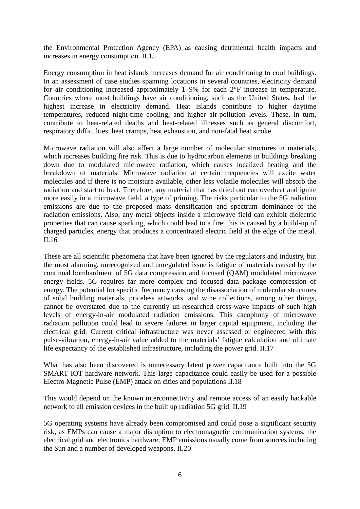the Environmental Protection Agency (EPA) as causing detrimental health impacts and increases in energy consumption. II.15

Energy consumption in heat islands increases demand for air conditioning to cool buildings. In an assessment of case studies spanning locations in several countries, electricity demand for air conditioning increased approximately 1–9% for each 2°F increase in temperature. Countries where most buildings have air conditioning, such as the United States, had the highest increase in electricity demand. Heat islands contribute to higher daytime temperatures, reduced night-time cooling, and higher air-pollution levels. These, in turn, contribute to heat-related deaths and heat-related illnesses such as general discomfort, respiratory difficulties, heat cramps, heat exhaustion, and non-fatal heat stroke.

Microwave radiation will also affect a large number of molecular structures in materials, which increases building fire risk. This is due to hydrocarbon elements in buildings breaking down due to modulated microwave radiation, which causes localized heating and the breakdown of materials. Microwave radiation at certain frequencies will excite water molecules and if there is no moisture available, other less volatile molecules will absorb the radiation and start to heat. Therefore, any material that has dried out can overheat and ignite more easily in a microwave field, a type of priming. The risks particular to the 5G radiation emissions are due to the proposed mass densification and spectrum dominance of the radiation emissions. Also, any metal objects inside a microwave field can exhibit dielectric properties that can cause sparking, which could lead to a fire; this is caused by a build-up of charged particles, energy that produces a concentrated electric field at the edge of the metal. II.16

These are all scientific phenomena that have been ignored by the regulators and industry, but the most alarming, unrecognized and unregulated issue is fatigue of materials caused by the continual bombardment of 5G data compression and focused (QAM) modulated microwave energy fields. 5G requires far more complex and focused data package compression of energy. The potential for specific frequency causing the disassociation of molecular structures of solid building materials, priceless artworks, and wine collections, among other things, cannot be overstated due to the currently un-researched cross-wave impacts of such high levels of energy-in-air modulated radiation emissions. This cacophony of microwave radiation pollution could lead to severe failures in larger capital equipment, including the electrical grid. Current critical infrastructure was never assessed or engineered with this pulse-vibration, energy-in-air value added to the materials' fatigue calculation and ultimate life expectancy of the established infrastructure, including the power grid. II.17

What has also been discovered is unnecessary latent power capacitance built into the 5G SMART IOT hardware network. This large capacitance could easily be used for a possible Electro Magnetic Pulse (EMP) attack on cities and populations II.18

This would depend on the known interconnectivity and remote access of an easily hackable network to all emission devices in the built up radiation 5G grid. II.19

5G operating systems have already been compromised and could pose a significant security risk, as EMPs can cause a major disruption to electromagnetic communication systems, the electrical grid and electronics hardware; EMP emissions usually come from sources including the Sun and a number of developed weapons. II.20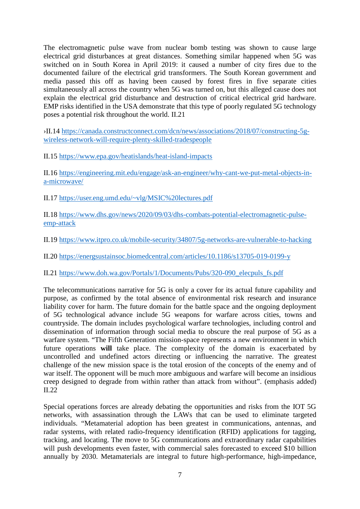The electromagnetic pulse wave from nuclear bomb testing was shown to cause large electrical grid disturbances at great distances. Something similar happened when 5G was switched on in South Korea in April 2019: it caused a number of city fires due to the documented failure of the electrical grid transformers. The South Korean government and media passed this off as having been caused by forest fires in five separate cities simultaneously all across the country when 5G was turned on, but this alleged cause does not explain the electrical grid disturbance and destruction of critical electrical grid hardware. EMP risks identified in the USA demonstrate that this type of poorly regulated 5G technology poses a potential risk throughout the world. II.21

›II.14 [https://canada.constructconnect.com/dcn/news/associations/2018/07/constructing-5g](https://canada.constructconnect.com/dcn/news/associations/2018/07/constructing-5g-wireless-network-will-require-plenty-skilled-tradespeople)[wireless-network-will-require-plenty-skilled-tradespeople](https://canada.constructconnect.com/dcn/news/associations/2018/07/constructing-5g-wireless-network-will-require-plenty-skilled-tradespeople)

II.15<https://www.epa.gov/heatislands/heat-island-impacts>

II.16 [https://engineering.mit.edu/engage/ask-an-engineer/why-cant-we-put-metal-objects-in](https://engineering.mit.edu/engage/ask-an-engineer/why-cant-we-put-metal-objects-in-a-microwave/)[a-microwave/](https://engineering.mit.edu/engage/ask-an-engineer/why-cant-we-put-metal-objects-in-a-microwave/)

II.17<https://user.eng.umd.edu/~vlg/MSIC%20lectures.pdf>

II.18 [https://www.dhs.gov/news/2020/09/03/dhs-combats-potential-electromagnetic-pulse](https://www.dhs.gov/news/2020/09/03/dhs-combats-potential-electromagnetic-pulse-emp-attack)[emp-attack](https://www.dhs.gov/news/2020/09/03/dhs-combats-potential-electromagnetic-pulse-emp-attack)

II.19<https://www.itpro.co.uk/mobile-security/34807/5g-networks-are-vulnerable-to-hacking>

II.20<https://energsustainsoc.biomedcentral.com/articles/10.1186/s13705-019-0199-y>

II.21 [https://www.doh.wa.gov/Portals/1/Documents/Pubs/320-090\\_elecpuls\\_fs.pdf](https://www.doh.wa.gov/Portals/1/Documents/Pubs/320-090_elecpuls_fs.pdf)

The telecommunications narrative for 5G is only a cover for its actual future capability and purpose, as confirmed by the total absence of environmental risk research and insurance liability cover for harm. The future domain for the battle space and the ongoing deployment of 5G technological advance include 5G weapons for warfare across cities, towns and countryside. The domain includes psychological warfare technologies, including control and dissemination of information through social media to obscure the real purpose of 5G as a warfare system. "The Fifth Generation mission-space represents a new environment in which future operations **will** take place. The complexity of the domain is exacerbated by uncontrolled and undefined actors directing or influencing the narrative. The greatest challenge of the new mission space is the total erosion of the concepts of the enemy and of war itself. The opponent will be much more ambiguous and warfare will become an insidious creep designed to degrade from within rather than attack from without". (emphasis added) II.22

Special operations forces are already debating the opportunities and risks from the IOT 5G networks, with assassination through the LAWs that can be used to eliminate targeted individuals. "Metamaterial adoption has been greatest in communications, antennas, and radar systems, with related radio-frequency identification (RFID) applications for tagging, tracking, and locating. The move to 5G communications and extraordinary radar capabilities will push developments even faster, with commercial sales forecasted to exceed \$10 billion annually by 2030. Metamaterials are integral to future high-performance, high-impedance,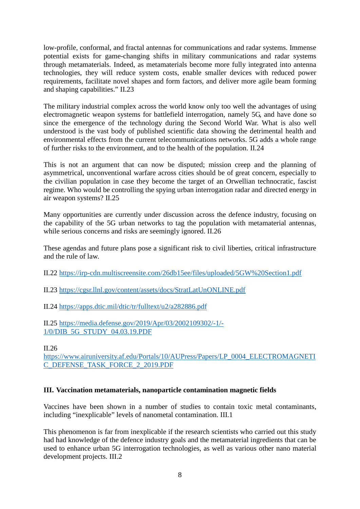low-profile, conformal, and fractal antennas for communications and radar systems. Immense potential exists for game-changing shifts in military communications and radar systems through metamaterials. Indeed, as metamaterials become more fully integrated into antenna technologies, they will reduce system costs, enable smaller devices with reduced power requirements, facilitate novel shapes and form factors, and deliver more agile beam forming and shaping capabilities." II.23

The military industrial complex across the world know only too well the advantages of using electromagnetic weapon systems for battlefield interrogation, namely 5G, and have done so since the emergence of the technology during the Second World War. What is also well understood is the vast body of published scientific data showing the detrimental health and environmental effects from the current telecommunications networks. 5G adds a whole range of further risks to the environment, and to the health of the population. II.24

This is not an argument that can now be disputed; mission creep and the planning of asymmetrical, unconventional warfare across cities should be of great concern, especially to the civilian population in case they become the target of an Orwellian technocratic, fascist regime. Who would be controlling the spying urban interrogation radar and directed energy in air weapon systems? II.25

Many opportunities are currently under discussion across the defence industry, focusing on the capability of the 5G urban networks to tag the population with metamaterial antennas, while serious concerns and risks are seemingly ignored. II.26

These agendas and future plans pose a significant risk to civil liberties, critical infrastructure and the rule of law.

II.22<https://irp-cdn.multiscreensite.com/26db15ee/files/uploaded/5GW%20Section1.pdf>

II.23<https://cgsr.llnl.gov/content/assets/docs/StratLatUnONLINE.pdf>

II.24<https://apps.dtic.mil/dtic/tr/fulltext/u2/a282886.pdf>

II.25 [https://media.defense.gov/2019/Apr/03/2002109302/-1/-](https://media.defense.gov/2019/Apr/03/2002109302/-1/-1/0/DIB_5G_STUDY_04.03.19.PDF) [1/0/DIB\\_5G\\_STUDY\\_04.03.19.PDF](https://media.defense.gov/2019/Apr/03/2002109302/-1/-1/0/DIB_5G_STUDY_04.03.19.PDF)

II.26

[https://www.airuniversity.af.edu/Portals/10/AUPress/Papers/LP\\_0004\\_ELECTROMAGNETI](https://www.airuniversity.af.edu/Portals/10/AUPress/Papers/LP_0004_ELECTROMAGNETIC_DEFENSE_TASK_FORCE_2_2019.PDF) [C\\_DEFENSE\\_TASK\\_FORCE\\_2\\_2019.PDF](https://www.airuniversity.af.edu/Portals/10/AUPress/Papers/LP_0004_ELECTROMAGNETIC_DEFENSE_TASK_FORCE_2_2019.PDF)

### <span id="page-7-0"></span>**III. Vaccination metamaterials, nanoparticle contamination magnetic fields**

Vaccines have been shown in a number of studies to contain toxic metal contaminants, including "inexplicable" levels of nanometal contamination. III.1

This phenomenon is far from inexplicable if the research scientists who carried out this study had had knowledge of the defence industry goals and the metamaterial ingredients that can be used to enhance urban 5G interrogation technologies, as well as various other nano material development projects. III.2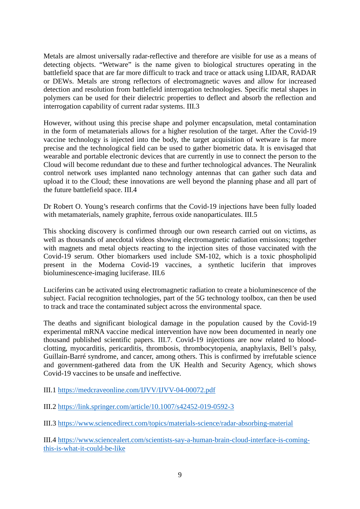Metals are almost universally radar-reflective and therefore are visible for use as a means of detecting objects. "Wetware" is the name given to biological structures operating in the battlefield space that are far more difficult to track and trace or attack using LIDAR, RADAR or DEWs. Metals are strong reflectors of electromagnetic waves and allow for increased detection and resolution from battlefield interrogation technologies. Specific metal shapes in polymers can be used for their dielectric properties to deflect and absorb the reflection and interrogation capability of current radar systems. III.3

However, without using this precise shape and polymer encapsulation, metal contamination in the form of metamaterials allows for a higher resolution of the target. After the Covid-19 vaccine technology is injected into the body, the target acquisition of wetware is far more precise and the technological field can be used to gather biometric data. It is envisaged that wearable and portable electronic devices that are currently in use to connect the person to the Cloud will become redundant due to these and further technological advances. The Neuralink control network uses implanted nano technology antennas that can gather such data and upload it to the Cloud; these innovations are well beyond the planning phase and all part of the future battlefield space. III.4

Dr Robert O. Young's research confirms that the Covid-19 injections have been fully loaded with metamaterials, namely graphite, ferrous oxide nanoparticulates. III.5

This shocking discovery is confirmed through our own research carried out on victims, as well as thousands of anecdotal videos showing electromagnetic radiation emissions; together with magnets and metal objects reacting to the injection sites of those vaccinated with the Covid-19 serum. Other biomarkers used include SM-102, which is a toxic phospholipid present in the Moderna Covid-19 vaccines, a synthetic luciferin that improves bioluminescence-imaging luciferase. III.6

Luciferins can be activated using electromagnetic radiation to create a bioluminescence of the subject. Facial recognition technologies, part of the 5G technology toolbox, can then be used to track and trace the contaminated subject across the environmental space.

The deaths and significant biological damage in the population caused by the Covid-19 experimental mRNA vaccine medical intervention have now been documented in nearly one thousand published scientific papers. III.7. Covid-19 injections are now related to bloodclotting, myocarditis, pericarditis, thrombosis, thrombocytopenia, anaphylaxis, Bell's palsy, Guillain-Barré syndrome, and cancer, among others. This is confirmed by irrefutable science and government-gathered data from the UK Health and Security Agency, which shows Covid-19 vaccines to be unsafe and ineffective.

III.1<https://medcraveonline.com/IJVV/IJVV-04-00072.pdf>

III.2<https://link.springer.com/article/10.1007/s42452-019-0592-3>

III.3<https://www.sciencedirect.com/topics/materials-science/radar-absorbing-material>

III.4 [https://www.sciencealert.com/scientists-say-a-human-brain-cloud-interface-is-coming](https://www.sciencealert.com/scientists-say-a-human-brain-cloud-interface-is-coming-this-is-what-it-could-be-like)[this-is-what-it-could-be-like](https://www.sciencealert.com/scientists-say-a-human-brain-cloud-interface-is-coming-this-is-what-it-could-be-like)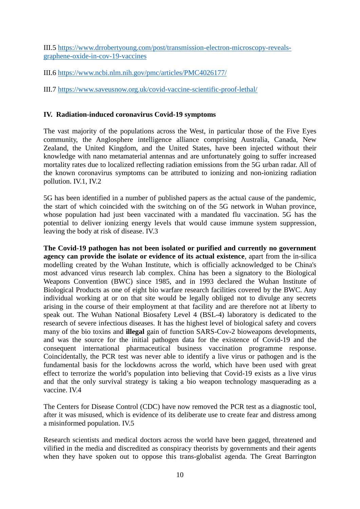III.5 [https://www.drrobertyoung.com/post/transmission-electron-microscopy-reveals](https://www.drrobertyoung.com/post/transmission-electron-microscopy-reveals-graphene-oxide-in-cov-19-vaccines)[graphene-oxide-in-cov-19-vaccines](https://www.drrobertyoung.com/post/transmission-electron-microscopy-reveals-graphene-oxide-in-cov-19-vaccines)

III.6<https://www.ncbi.nlm.nih.gov/pmc/articles/PMC4026177/>

III.7<https://www.saveusnow.org.uk/covid-vaccine-scientific-proof-lethal/>

### <span id="page-9-0"></span>**IV. Radiation-induced coronavirus Covid-19 symptoms**

The vast majority of the populations across the West, in particular those of the Five Eyes community, the Anglosphere intelligence alliance comprising Australia, Canada, New Zealand, the United Kingdom, and the United States, have been injected without their knowledge with nano metamaterial antennas and are unfortunately going to suffer increased mortality rates due to localized reflecting radiation emissions from the 5G urban radar. All of the known coronavirus symptoms can be attributed to ionizing and non-ionizing radiation pollution. IV.1, IV.2

5G has been identified in a number of published papers as the actual cause of the pandemic, the start of which coincided with the switching on of the 5G network in Wuhan province, whose population had just been vaccinated with a mandated flu vaccination. 5G has the potential to deliver ionizing energy levels that would cause immune system suppression, leaving the body at risk of disease. IV.3

**The Covid-19 pathogen has not been isolated or purified and currently no government agency can provide the isolate or evidence of its actual existence**, apart from the in-silica modelling created by the Wuhan Institute, which is officially acknowledged to be China's most advanced virus research lab complex. China has been a signatory to the Biological Weapons Convention (BWC) since 1985, and in 1993 declared the Wuhan Institute of Biological Products as one of eight bio warfare research facilities covered by the BWC. Any individual working at or on that site would be legally obliged not to divulge any secrets arising in the course of their employment at that facility and are therefore not at liberty to speak out. The Wuhan National Biosafety Level 4 (BSL-4) laboratory is dedicated to the research of severe infectious diseases. It has the highest level of biological safety and covers many of the bio toxins and **illegal** gain of function SARS-Cov-2 bioweapons developments, and was the source for the initial pathogen data for the existence of Covid-19 and the consequent international pharmaceutical business vaccination programme response. Coincidentally, the PCR test was never able to identify a live virus or pathogen and is the fundamental basis for the lockdowns across the world, which have been used with great effect to terrorize the world's population into believing that Covid-19 exists as a live virus and that the only survival strategy is taking a bio weapon technology masquerading as a vaccine. IV.4

The Centers for Disease Control (CDC) have now removed the PCR test as a diagnostic tool, after it was misused, which is evidence of its deliberate use to create fear and distress among a misinformed population. IV.5

Research scientists and medical doctors across the world have been gagged, threatened and vilified in the media and discredited as conspiracy theorists by governments and their agents when they have spoken out to oppose this trans-globalist agenda. The Great Barrington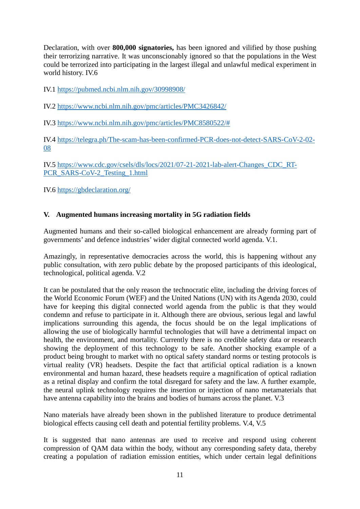Declaration, with over **800,000 signatories,** has been ignored and vilified by those pushing their terrorizing narrative. It was unconscionably ignored so that the populations in the West could be terrorized into participating in the largest illegal and unlawful medical experiment in world history. IV.6

IV.1<https://pubmed.ncbi.nlm.nih.gov/30998908/>

IV.2<https://www.ncbi.nlm.nih.gov/pmc/articles/PMC3426842/>

IV.3 [https://www.ncbi.nlm.nih.gov/pmc/articles/PMC8580522/#](https://www.ncbi.nlm.nih.gov/pmc/articles/PMC8580522/)

IV.4 [https://telegra.ph/The-scam-has-been-confirmed-PCR-does-not-detect-SARS-CoV-2-02-](https://telegra.ph/The-scam-has-been-confirmed-PCR-does-not-detect-SARS-CoV-2-02-08) [08](https://telegra.ph/The-scam-has-been-confirmed-PCR-does-not-detect-SARS-CoV-2-02-08)

IV.5 [https://www.cdc.gov/csels/dls/locs/2021/07-21-2021-lab-alert-Changes\\_CDC\\_RT-](https://www.cdc.gov/csels/dls/locs/2021/07-21-2021-lab-alert-Changes_CDC_RT-PCR_SARS-CoV-2_Testing_1.html)[PCR\\_SARS-CoV-2\\_Testing\\_1.html](https://www.cdc.gov/csels/dls/locs/2021/07-21-2021-lab-alert-Changes_CDC_RT-PCR_SARS-CoV-2_Testing_1.html)

IV.6<https://gbdeclaration.org/>

## <span id="page-10-0"></span>**V. Augmented humans increasing mortality in 5G radiation fields**

Augmented humans and their so-called biological enhancement are already forming part of governments' and defence industries' wider digital connected world agenda. V.1.

Amazingly, in representative democracies across the world, this is happening without any public consultation, with zero public debate by the proposed participants of this ideological, technological, political agenda. V.2

It can be postulated that the only reason the technocratic elite, including the driving forces of the World Economic Forum (WEF) and the United Nations (UN) with its Agenda 2030, could have for keeping this digital connected world agenda from the public is that they would condemn and refuse to participate in it. Although there are obvious, serious legal and lawful implications surrounding this agenda, the focus should be on the legal implications of allowing the use of biologically harmful technologies that will have a detrimental impact on health, the environment, and mortality. Currently there is no credible safety data or research showing the deployment of this technology to be safe. Another shocking example of a product being brought to market with no optical safety standard norms or testing protocols is virtual reality (VR) headsets. Despite the fact that artificial optical radiation is a known environmental and human hazard, these headsets require a magnification of optical radiation as a retinal display and confirm the total disregard for safety and the law. A further example, the neural uplink technology requires the insertion or injection of nano metamaterials that have antenna capability into the brains and bodies of humans across the planet. V.3

Nano materials have already been shown in the published literature to produce detrimental biological effects causing cell death and potential fertility problems. V.4, V.5

It is suggested that nano antennas are used to receive and respond using coherent compression of QAM data within the body, without any corresponding safety data, thereby creating a population of radiation emission entities, which under certain legal definitions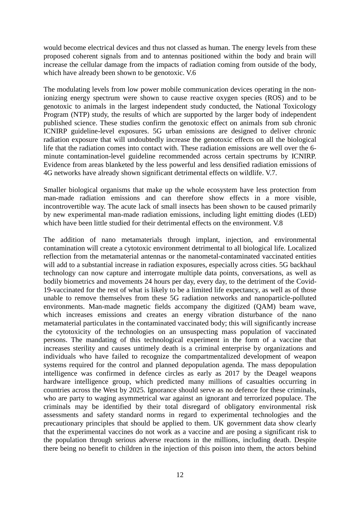would become electrical devices and thus not classed as human. The energy levels from these proposed coherent signals from and to antennas positioned within the body and brain will increase the cellular damage from the impacts of radiation coming from outside of the body, which have already been shown to be genotoxic. V.6

The modulating levels from low power mobile communication devices operating in the nonionizing energy spectrum were shown to cause reactive oxygen species (ROS) and to be genotoxic to animals in the largest independent study conducted, the National Toxicology Program (NTP) study, the results of which are supported by the larger body of independent published science. These studies confirm the genotoxic effect on animals from sub chronic ICNIRP guideline-level exposures. 5G urban emissions are designed to deliver chronic radiation exposure that will undoubtedly increase the genotoxic effects on all the biological life that the radiation comes into contact with. These radiation emissions are well over the 6 minute contamination-level guideline recommended across certain spectrums by ICNIRP. Evidence from areas blanketed by the less powerful and less densified radiation emissions of 4G networks have already shown significant detrimental effects on wildlife. V.7.

Smaller biological organisms that make up the whole ecosystem have less protection from man-made radiation emissions and can therefore show effects in a more visible, incontrovertible way. The acute lack of small insects has been shown to be caused primarily by new experimental man-made radiation emissions, including light emitting diodes (LED) which have been little studied for their detrimental effects on the environment. V.8

The addition of nano metamaterials through implant, injection, and environmental contamination will create a cytotoxic environment detrimental to all biological life. Localized reflection from the metamaterial antennas or the nanometal-contaminated vaccinated entities will add to a substantial increase in radiation exposures, especially across cities. 5G backhaul technology can now capture and interrogate multiple data points, conversations, as well as bodily biometrics and movements 24 hours per day, every day, to the detriment of the Covid-19-vaccinated for the rest of what is likely to be a limited life expectancy, as well as of those unable to remove themselves from these 5G radiation networks and nanoparticle-polluted environments. Man-made magnetic fields accompany the digitized (QAM) beam wave, which increases emissions and creates an energy vibration disturbance of the nano metamaterial particulates in the contaminated vaccinated body; this will significantly increase the cytotoxicity of the technologies on an unsuspecting mass population of vaccinated persons. The mandating of this technological experiment in the form of a vaccine that increases sterility and causes untimely death is a criminal enterprise by organizations and individuals who have failed to recognize the compartmentalized development of weapon systems required for the control and planned depopulation agenda. The mass depopulation intelligence was confirmed in defence circles as early as 2017 by the Deagel weapons hardware intelligence group, which predicted many millions of casualties occurring in countries across the West by 2025. Ignorance should serve as no defence for these criminals, who are party to waging asymmetrical war against an ignorant and terrorized populace. The criminals may be identified by their total disregard of obligatory environmental risk assessments and safety standard norms in regard to experimental technologies and the precautionary principles that should be applied to them. UK government data show clearly that the experimental vaccines do not work as a vaccine and are posing a significant risk to the population through serious adverse reactions in the millions, including death. Despite there being no benefit to children in the injection of this poison into them, the actors behind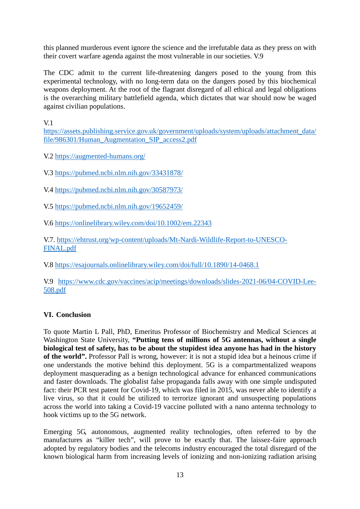this planned murderous event ignore the science and the irrefutable data as they press on with their covert warfare agenda against the most vulnerable in our societies. V.9

The CDC admit to the current life-threatening dangers posed to the young from this experimental technology, with no long-term data on the dangers posed by this biochemical weapons deployment. At the root of the flagrant disregard of all ethical and legal obligations is the overarching military battlefield agenda, which dictates that war should now be waged against civilian populations.

 $V<sub>1</sub>$ 

[https://assets.publishing.service.gov.uk/government/uploads/system/uploads/attachment\\_data/](https://assets.publishing.service.gov.uk/government/uploads/system/uploads/attachment_data/file/986301/Human_Augmentation_SIP_access2.pdf) [file/986301/Human\\_Augmentation\\_SIP\\_access2.pdf](https://assets.publishing.service.gov.uk/government/uploads/system/uploads/attachment_data/file/986301/Human_Augmentation_SIP_access2.pdf)

V.2<https://augmented-humans.org/>

V.3<https://pubmed.ncbi.nlm.nih.gov/33431878/>

V.4<https://pubmed.ncbi.nlm.nih.gov/30587973/>

V.5<https://pubmed.ncbi.nlm.nih.gov/19652459/>

V.6<https://onlinelibrary.wiley.com/doi/10.1002/em.22343>

V.7. [https://ehtrust.org/wp-content/uploads/Mt-Nardi-Wildlife-Report-to-UNESCO-](https://ehtrust.org/wp-content/uploads/Mt-Nardi-Wildlife-Report-to-UNESCO-FINAL.pdf)[FINAL.pdf](https://ehtrust.org/wp-content/uploads/Mt-Nardi-Wildlife-Report-to-UNESCO-FINAL.pdf)

V.8<https://esajournals.onlinelibrary.wiley.com/doi/full/10.1890/14-0468.1>

V.9 [https://www.cdc.gov/vaccines/acip/meetings/downloads/slides-2021-06/04-COVID-Lee-](https://www.cdc.gov/vaccines/acip/meetings/downloads/slides-2021-06/04-COVID-Lee-508.pdf)[508.pdf](https://www.cdc.gov/vaccines/acip/meetings/downloads/slides-2021-06/04-COVID-Lee-508.pdf)

### <span id="page-12-0"></span>**VI. Conclusion**

To quote Martin L Pall, PhD, Emeritus Professor of Biochemistry and Medical Sciences at Washington State University, **"Putting tens of millions of 5G antennas, without a single biological test of safety, has to be about the stupidest idea anyone has had in the history of the world".** Professor Pall is wrong, however: it is not a stupid idea but a heinous crime if one understands the motive behind this deployment. 5G is a compartmentalized weapons deployment masquerading as a benign technological advance for enhanced communications and faster downloads. The globalist false propaganda falls away with one simple undisputed fact: their PCR test patent for Covid-19, which was filed in 2015, was never able to identify a live virus, so that it could be utilized to terrorize ignorant and unsuspecting populations across the world into taking a Covid-19 vaccine polluted with a nano antenna technology to hook victims up to the 5G network.

Emerging 5G, autonomous, augmented reality technologies, often referred to by the manufactures as "killer tech", will prove to be exactly that. The laissez-faire approach adopted by regulatory bodies and the telecoms industry encouraged the total disregard of the known biological harm from increasing levels of ionizing and non-ionizing radiation arising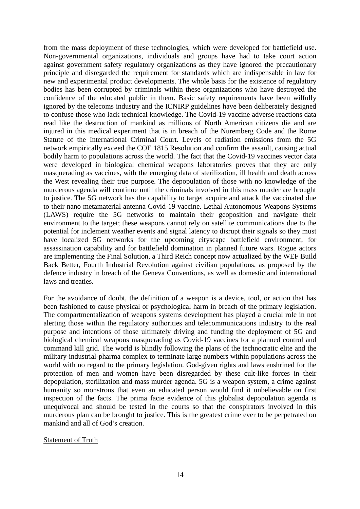from the mass deployment of these technologies, which were developed for battlefield use. Non-governmental organizations, individuals and groups have had to take court action against government safety regulatory organizations as they have ignored the precautionary principle and disregarded the requirement for standards which are indispensable in law for new and experimental product developments. The whole basis for the existence of regulatory bodies has been corrupted by criminals within these organizations who have destroyed the confidence of the educated public in them. Basic safety requirements have been wilfully ignored by the telecoms industry and the ICNIRP guidelines have been deliberately designed to confuse those who lack technical knowledge. The Covid-19 vaccine adverse reactions data read like the destruction of mankind as millions of North American citizens die and are injured in this medical experiment that is in breach of the Nuremberg Code and the Rome Statute of the International Criminal Court. Levels of radiation emissions from the 5G network empirically exceed the COE 1815 Resolution and confirm the assault, causing actual bodily harm to populations across the world. The fact that the Covid-19 vaccines vector data were developed in biological chemical weapons laboratories proves that they are only masquerading as vaccines, with the emerging data of sterilization, ill health and death across the West revealing their true purpose. The depopulation of those with no knowledge of the murderous agenda will continue until the criminals involved in this mass murder are brought to justice. The 5G network has the capability to target acquire and attack the vaccinated due to their nano metamaterial antenna Covid-19 vaccine. Lethal Autonomous Weapons Systems (LAWS) require the 5G networks to maintain their geoposition and navigate their environment to the target; these weapons cannot rely on satellite communications due to the potential for inclement weather events and signal latency to disrupt their signals so they must have localized 5G networks for the upcoming cityscape battlefield environment, for assassination capability and for battlefield domination in planned future wars. Rogue actors are implementing the Final Solution, a Third Reich concept now actualized by the WEF Build Back Better, Fourth Industrial Revolution against civilian populations, as proposed by the defence industry in breach of the Geneva Conventions, as well as domestic and international laws and treaties.

For the avoidance of doubt, the definition of a weapon is a device, tool, or action that has been fashioned to cause physical or psychological harm in breach of the primary legislation. The compartmentalization of weapons systems development has played a crucial role in not alerting those within the regulatory authorities and telecommunications industry to the real purpose and intentions of those ultimately driving and funding the deployment of 5G and biological chemical weapons masquerading as Covid-19 vaccines for a planned control and command kill grid. The world is blindly following the plans of the technocratic elite and the military-industrial-pharma complex to terminate large numbers within populations across the world with no regard to the primary legislation. God-given rights and laws enshrined for the protection of men and women have been disregarded by these cult-like forces in their depopulation, sterilization and mass murder agenda. 5G is a weapon system, a crime against humanity so monstrous that even an educated person would find it unbelievable on first inspection of the facts. The prima facie evidence of this globalist depopulation agenda is unequivocal and should be tested in the courts so that the conspirators involved in this murderous plan can be brought to justice. This is the greatest crime ever to be perpetrated on mankind and all of God's creation.

#### Statement of Truth